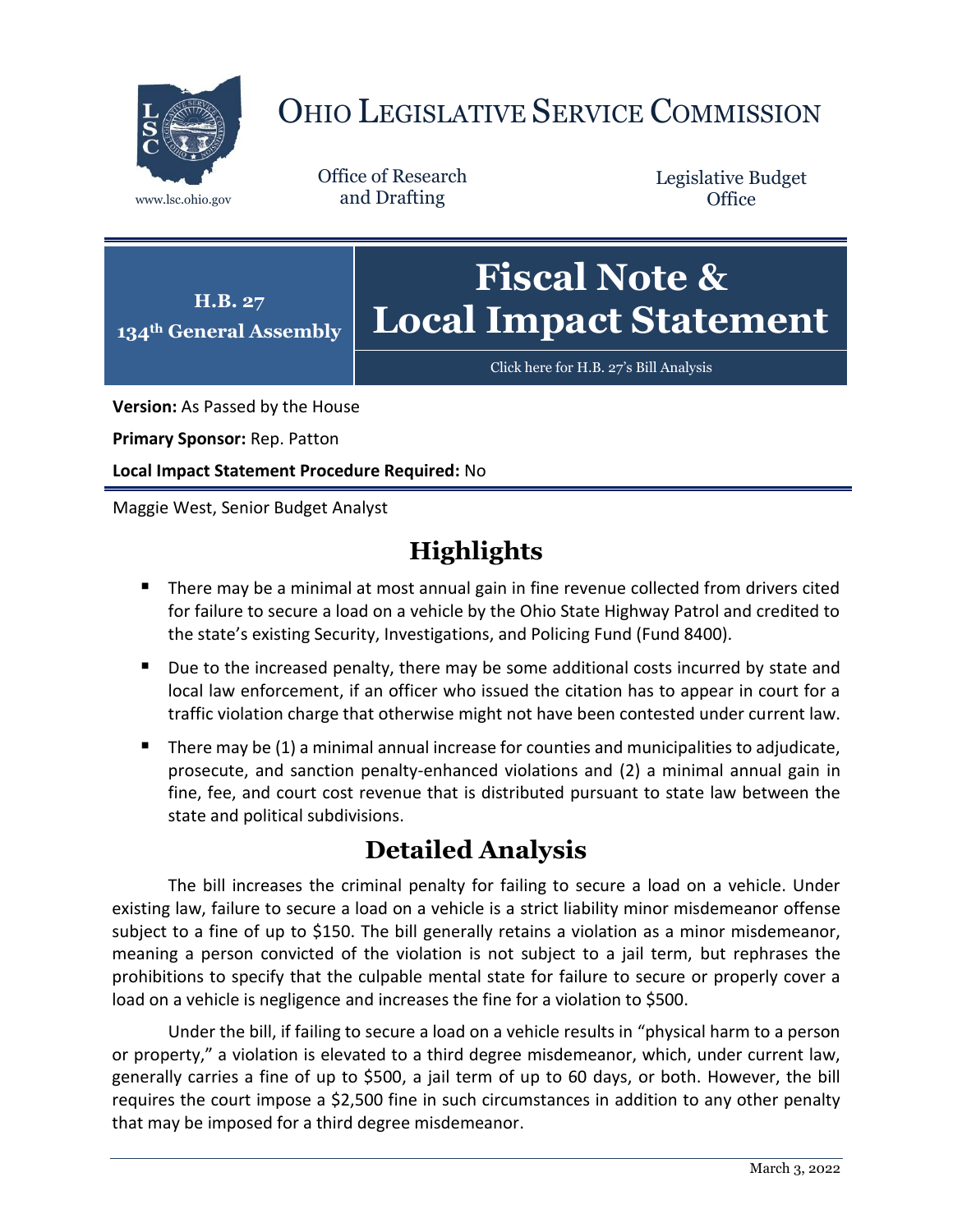

# OHIO LEGISLATIVE SERVICE COMMISSION

Office of Research www.lsc.ohio.gov and Drafting

Legislative Budget **Office** 



[Click here for H.B. 27](https://www.legislature.ohio.gov/legislation/legislation-documents?id=GA134-HB-27)'s Bill Analysis

**Version:** As Passed by the House

**Primary Sponsor:** Rep. Patton

**Local Impact Statement Procedure Required:** No

Maggie West, Senior Budget Analyst

# **Highlights**

- **There may be a minimal at most annual gain in fine revenue collected from drivers cited** for failure to secure a load on a vehicle by the Ohio State Highway Patrol and credited to the state's existing Security, Investigations, and Policing Fund (Fund 8400).
- Due to the increased penalty, there may be some additional costs incurred by state and local law enforcement, if an officer who issued the citation has to appear in court for a traffic violation charge that otherwise might not have been contested under current law.
- There may be  $(1)$  a minimal annual increase for counties and municipalities to adjudicate, prosecute, and sanction penalty-enhanced violations and (2) a minimal annual gain in fine, fee, and court cost revenue that is distributed pursuant to state law between the state and political subdivisions.

# **Detailed Analysis**

The bill increases the criminal penalty for failing to secure a load on a vehicle. Under existing law, failure to secure a load on a vehicle is a strict liability minor misdemeanor offense subject to a fine of up to \$150. The bill generally retains a violation as a minor misdemeanor, meaning a person convicted of the violation is not subject to a jail term, but rephrases the prohibitions to specify that the culpable mental state for failure to secure or properly cover a load on a vehicle is negligence and increases the fine for a violation to \$500.

Under the bill, if failing to secure a load on a vehicle results in "physical harm to a person or property," a violation is elevated to a third degree misdemeanor, which, under current law, generally carries a fine of up to \$500, a jail term of up to 60 days, or both. However, the bill requires the court impose a \$2,500 fine in such circumstances in addition to any other penalty that may be imposed for a third degree misdemeanor.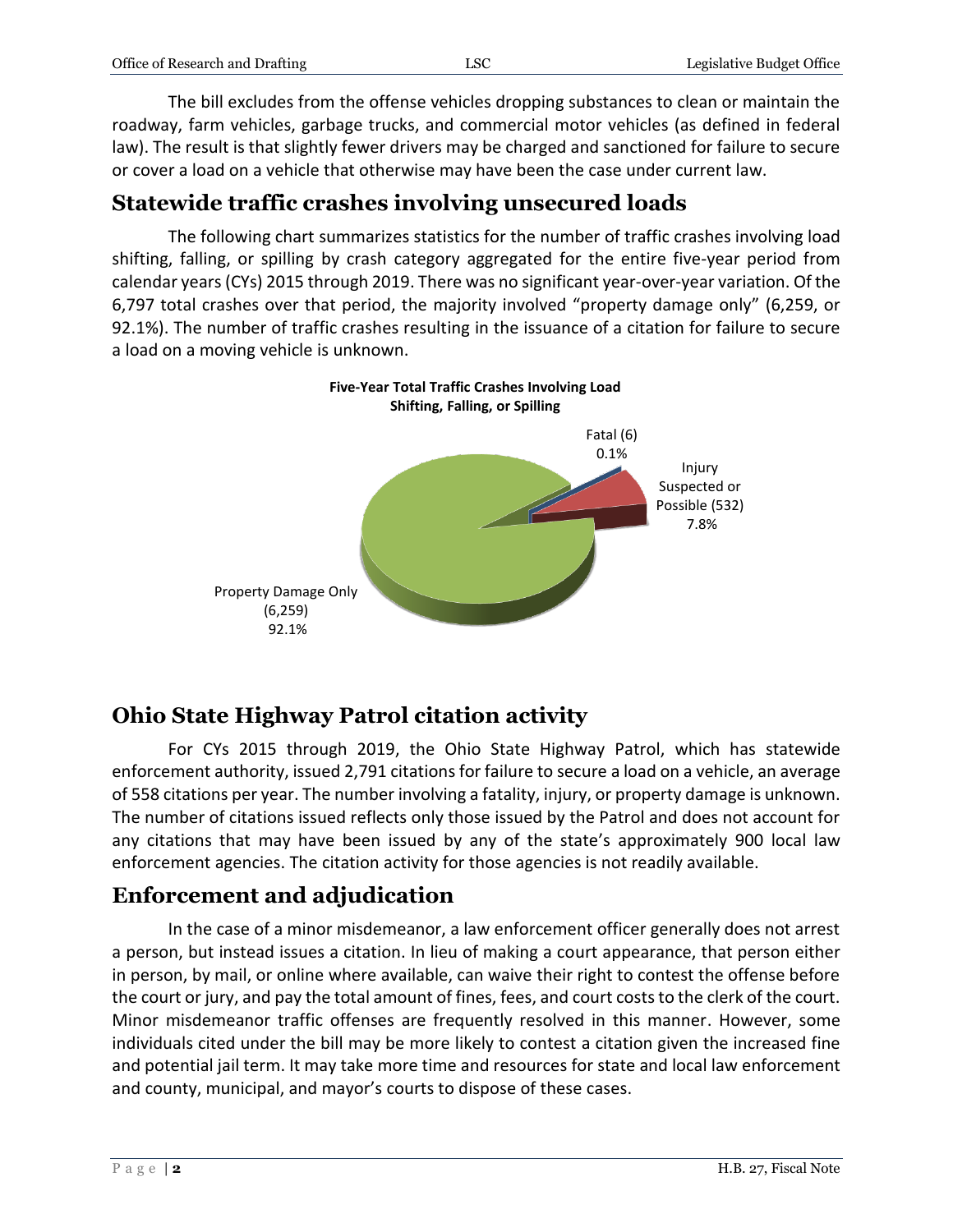| Office of Research and Drafting | LSC | Legislative Budget Office |
|---------------------------------|-----|---------------------------|
|                                 |     |                           |

The bill excludes from the offense vehicles dropping substances to clean or maintain the roadway, farm vehicles, garbage trucks, and commercial motor vehicles (as defined in federal law). The result is that slightly fewer drivers may be charged and sanctioned for failure to secure or cover a load on a vehicle that otherwise may have been the case under current law.

#### **Statewide traffic crashes involving unsecured loads**

The following chart summarizes statistics for the number of traffic crashes involving load shifting, falling, or spilling by crash category aggregated for the entire five-year period from calendar years(CYs) 2015 through 2019. There was no significant year-over-year variation. Of the 6,797 total crashes over that period, the majority involved "property damage only" (6,259, or 92.1%). The number of traffic crashes resulting in the issuance of a citation for failure to secure a load on a moving vehicle is unknown.



## **Ohio State Highway Patrol citation activity**

For CYs 2015 through 2019, the Ohio State Highway Patrol, which has statewide enforcement authority, issued 2,791 citations for failure to secure a load on a vehicle, an average of 558 citations per year. The number involving a fatality, injury, or property damage is unknown. The number of citations issued reflects only those issued by the Patrol and does not account for any citations that may have been issued by any of the state's approximately 900 local law enforcement agencies. The citation activity for those agencies is not readily available.

## **Enforcement and adjudication**

In the case of a minor misdemeanor, a law enforcement officer generally does not arrest a person, but instead issues a citation. In lieu of making a court appearance, that person either in person, by mail, or online where available, can waive their right to contest the offense before the court or jury, and pay the total amount of fines, fees, and court costs to the clerk of the court. Minor misdemeanor traffic offenses are frequently resolved in this manner. However, some individuals cited under the bill may be more likely to contest a citation given the increased fine and potential jail term. It may take more time and resources for state and local law enforcement and county, municipal, and mayor's courts to dispose of these cases.